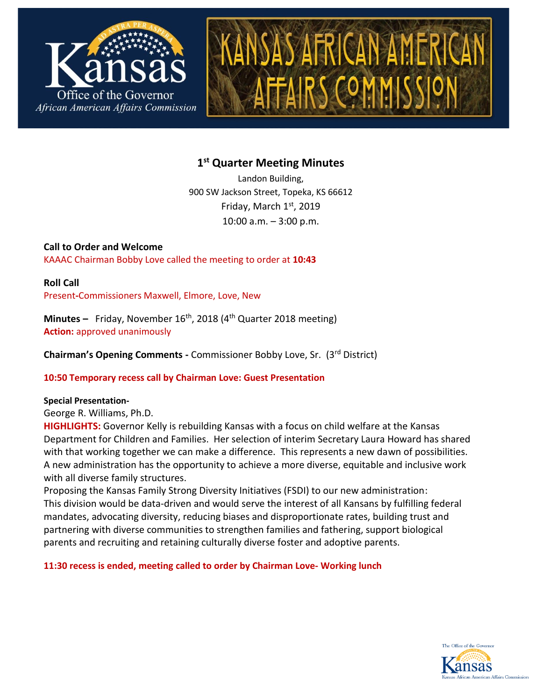



# **1 st Quarter Meeting Minutes**

Landon Building, 900 SW Jackson Street, Topeka, KS 66612 Friday, March 1st, 2019 10:00 a.m. – 3:00 p.m.

**Call to Order and Welcome**  KAAAC Chairman Bobby Love called the meeting to order at **10:43**

**Roll Call**  Present**-**Commissioners Maxwell, Elmore, Love, New

**Minutes** – Friday, November 16<sup>th</sup>, 2018 (4<sup>th</sup> Quarter 2018 meeting) **Action:** approved unanimously

**Chairman's Opening Comments -** Commissioner Bobby Love, Sr. (3rd District)

## **10:50 Temporary recess call by Chairman Love: Guest Presentation**

## **Special Presentation-**

George R. Williams, Ph.D.

**HIGHLIGHTS:** Governor Kelly is rebuilding Kansas with a focus on child welfare at the Kansas Department for Children and Families. Her selection of interim Secretary Laura Howard has shared with that working together we can make a difference. This represents a new dawn of possibilities. A new administration has the opportunity to achieve a more diverse, equitable and inclusive work with all diverse family structures.

Proposing the Kansas Family Strong Diversity Initiatives (FSDI) to our new administration: This division would be data-driven and would serve the interest of all Kansans by fulfilling federal mandates, advocating diversity, reducing biases and disproportionate rates, building trust and partnering with diverse communities to strengthen families and fathering, support biological parents and recruiting and retaining culturally diverse foster and adoptive parents.

## **11:30 recess is ended, meeting called to order by Chairman Love- Working lunch**